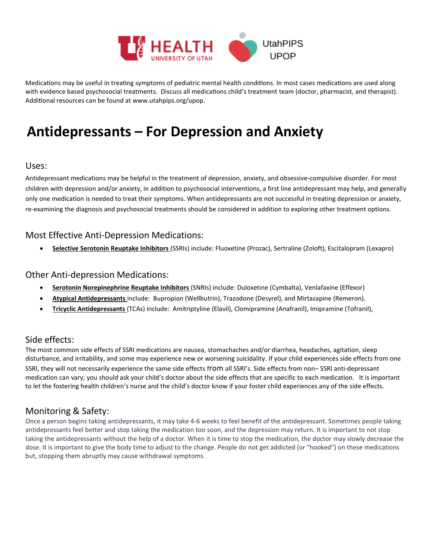

Medications may be useful in treating symptoms of pediatric mental health conditions. In most cases medications are used along with evidence based psychosocial treatments. Discuss all medications child's treatment team (doctor, pharmacist, and therapist). Additional resources can be found at www.utahpips.org/upop.

# **Antidepressants – For Depression and Anxiety**

#### Uses:

Antidepressant medications may be helpful in the treatment of depression, anxiety, and obsessive-compulsive disorder. For most children with depression and/or anxiety, in addition to psychosocial interventions, a first line antidepressant may help, and generally only one medication is needed to treat their symptoms. When antidepressants are not successful in treating depression or anxiety, re-examining the diagnosis and psychosocial treatments should be considered in addition to exploring other treatment options.

### Most Effective Anti-Depression Medications:

**Selective Serotonin Reuptake Inhibitors** (SSRIs) include: Fluoxetine (Prozac), Sertraline (Zoloft), Escitalopram (Lexapro)

#### Other Anti-depression Medications:

- **Serotonin Norepinephrine Reuptake Inhibitors** (SNRIs) include: Duloxetine (Cymbalta), Venlafaxine (Effexor)
- **Atypical Antidepressants** include: Bupropion (Wellbutrin), Trazodone (Desyrel), and Mirtazapine (Remeron).
- **Tricyclic Antidepressants** (TCAs) include: Amitriptyline (Elavil), Clomipramine (Anafranil), Imipramine (Tofranil),

### Side effects:

The most common side effects of SSRI medications are nausea, stomachaches and/or diarrhea, headaches, agitation, sleep disturbance, and irritability, and some may experience new or worsening suicidality. If your child experiences side effects from one SSRI, they will not necessarily experience the same side effects from all SSRI's. Side effects from non– SSRI anti-depressant medication can vary; you should ask your child's doctor about the side effects that are specific to each medication. It is important to let the fostering health children's nurse and the child's doctor know if your foster child experiences any of the side effects.

## Monitoring & Safety:

Once a person begins taking antidepressants, it may take 4-6 weeks to feel benefit of the antidepressant. Sometimes people taking antidepressants feel better and stop taking the medication too soon, and the depression may return. It is important to not stop taking the antidepressants without the help of a doctor. When it is time to stop the medication, the doctor may slowly decrease the dose. It is important to give the body time to adjust to the change. People do not get addicted (or "hooked") on these medications but, stopping them abruptly may cause withdrawal symptoms.